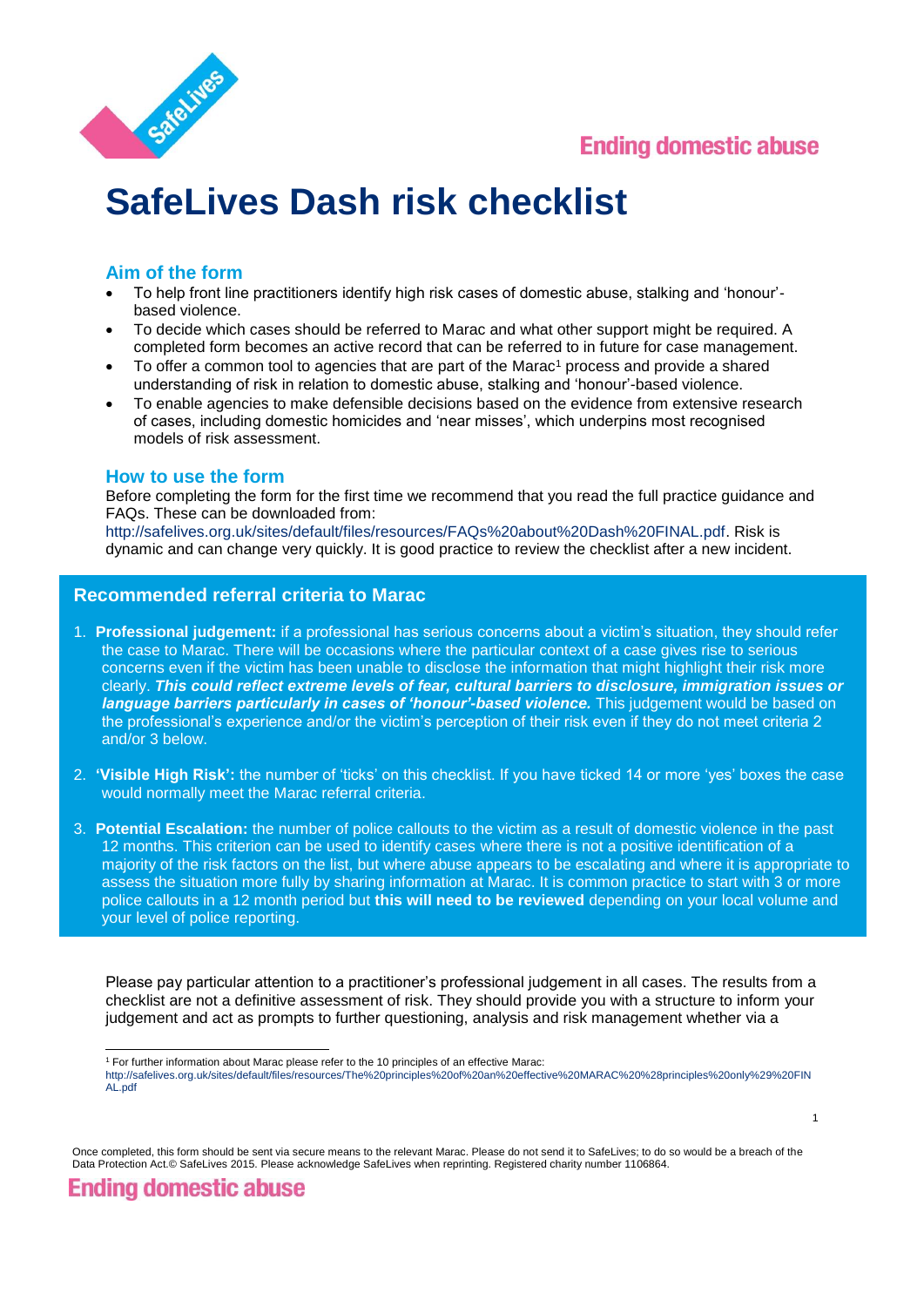

1



# **SafeLives Dash risk checklist**

## **Aim of the form**

- To help front line practitioners identify high risk cases of domestic abuse, stalking and 'honour' based violence.
- To decide which cases should be referred to Marac and what other support might be required. A completed form becomes an active record that can be referred to in future for case management.
- To offer a common tool to agencies that are part of the Marac<sup>1</sup> process and provide a shared understanding of risk in relation to domestic abuse, stalking and 'honour'-based violence.
- To enable agencies to make defensible decisions based on the evidence from extensive research of cases, including domestic homicides and 'near misses', which underpins most recognised models of risk assessment.

#### **How to use the form**

Before completing the form for the first time we recommend that you read the full practice guidance and FAQs. These can be downloaded from:

[http://safelives.org.uk/sites/default/files/resources/FAQs%20about%20Dash%20FINAL.pdf.](http://safelives.org.uk/sites/default/files/resources/FAQs%20about%20Dash%20FINAL.pdf) Risk is dynamic and can change very quickly. It is good practice to review the checklist after a new incident.

### **Recommended referral criteria to Marac**

- 1. **Professional judgement:** if a professional has serious concerns about a victim's situation, they should refer the case to Marac. There will be occasions where the particular context of a case gives rise to serious concerns even if the victim has been unable to disclose the information that might highlight their risk more clearly. *This could reflect extreme levels of fear, cultural barriers to disclosure, immigration issues or language barriers particularly in cases of 'honour'-based violence.* This judgement would be based on the professional's experience and/or the victim's perception of their risk even if they do not meet criteria 2 and/or 3 below.
- 2. **'Visible High Risk':** the number of 'ticks' on this checklist. If you have ticked 14 or more 'yes' boxes the case would normally meet the Marac referral criteria.
- 3. **Potential Escalation:** the number of police callouts to the victim as a result of domestic violence in the past 12 months. This criterion can be used to identify cases where there is not a positive identification of a majority of the risk factors on the list, but where abuse appears to be escalating and where it is appropriate to assess the situation more fully by sharing information at Marac. It is common practice to start with 3 or more police callouts in a 12 month period but **this will need to be reviewed** depending on your local volume and your level of police reporting.

Please pay particular attention to a practitioner's professional judgement in all cases. The results from a checklist are not a definitive assessment of risk. They should provide you with a structure to inform your judgement and act as prompts to further questioning, analysis and risk management whether via a

Once completed, this form should be sent via secure means to the relevant Marac. Please do not send it to SafeLives; to do so would be a breach of the Data Protection Act.© SafeLives 2015. Please acknowledge SafeLives when reprinting. Registered charity number 1106864.

**Ending domestic abuse** 

l <sup>1</sup> For further information about Marac please refer to the 10 principles of an effective Marac:

[http://safelives.org.uk/sites/default/files/resources/The%20principles%20of%20an%20effective%20MARAC%20%28principles%20only%29%20FIN](http://safelives.org.uk/sites/default/files/resources/The%20principles%20of%20an%20effective%20MARAC%20%28principles%20only%29%20FINAL.pdf) [AL.pdf](http://safelives.org.uk/sites/default/files/resources/The%20principles%20of%20an%20effective%20MARAC%20%28principles%20only%29%20FINAL.pdf)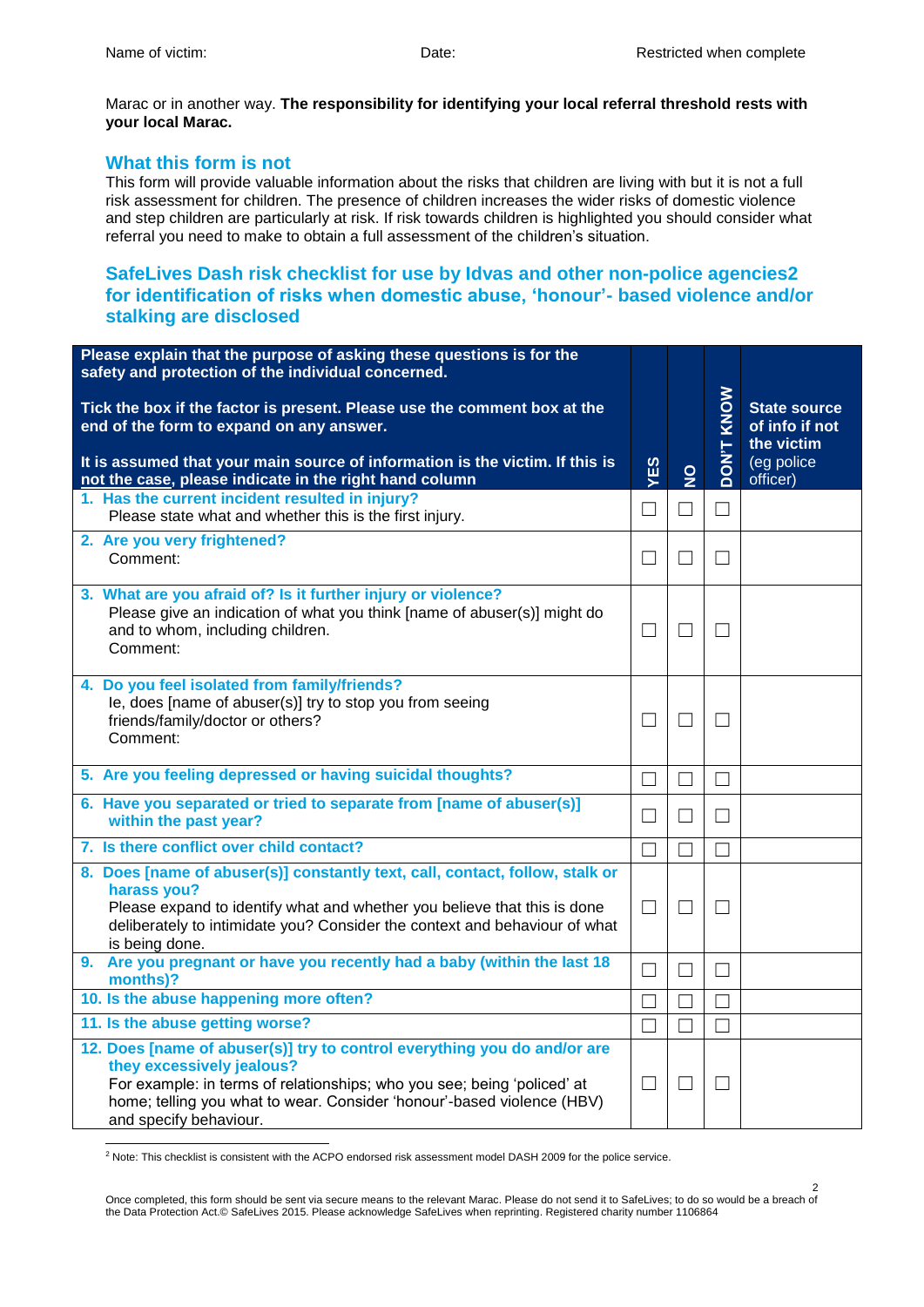Marac or in another way. **The responsibility for identifying your local referral threshold rests with your local Marac.** 

### **What this form is not**

This form will provide valuable information about the risks that children are living with but it is not a full risk assessment for children. The presence of children increases the wider risks of domestic violence and step children are particularly at risk. If risk towards children is highlighted you should consider what referral you need to make to obtain a full assessment of the children's situation.

### **SafeLives Dash risk checklist for use by Idvas and other non-police agencies2 for identification of risks when domestic abuse, 'honour'- based violence and/or stalking are disclosed**

| Please explain that the purpose of asking these questions is for the<br>safety and protection of the individual concerned.                                                                                                                                                           |                   |                   |                   |                                                                                |
|--------------------------------------------------------------------------------------------------------------------------------------------------------------------------------------------------------------------------------------------------------------------------------------|-------------------|-------------------|-------------------|--------------------------------------------------------------------------------|
| Tick the box if the factor is present. Please use the comment box at the<br>end of the form to expand on any answer.<br>It is assumed that your main source of information is the victim. If this is<br>not the case, please indicate in the right hand column                       | YES               | $\frac{0}{2}$     | KNOW<br>T'NOQ     | <b>State source</b><br>of info if not<br>the victim<br>(eg police)<br>officer) |
| 1. Has the current incident resulted in injury?<br>Please state what and whether this is the first injury.                                                                                                                                                                           | $\Box$            | $\Box$            | $\Box$            |                                                                                |
| 2. Are you very frightened?<br>Comment:                                                                                                                                                                                                                                              | $\Box$            | $\Box$            | $\vert \ \ \vert$ |                                                                                |
| 3. What are you afraid of? Is it further injury or violence?<br>Please give an indication of what you think [name of abuser(s)] might do<br>and to whom, including children.<br>Comment:                                                                                             | $\Box$            | $\vert \ \ \vert$ | $\vert \ \ \vert$ |                                                                                |
| 4. Do you feel isolated from family/friends?<br>le, does [name of abuser(s)] try to stop you from seeing<br>friends/family/doctor or others?<br>Comment:                                                                                                                             | $\vert \ \ \vert$ | $\vert \ \ \vert$ | $\vert \ \ \vert$ |                                                                                |
| 5. Are you feeling depressed or having suicidal thoughts?                                                                                                                                                                                                                            | $\Box$            | $\vert \ \ \vert$ | $\vert \ \ \vert$ |                                                                                |
| 6. Have you separated or tried to separate from [name of abuser(s)]<br>within the past year?                                                                                                                                                                                         | $\vert \ \ \vert$ | $\Box$            | $\vert \ \ \vert$ |                                                                                |
| 7. Is there conflict over child contact?                                                                                                                                                                                                                                             | $\Box$            | $\Box$            | П                 |                                                                                |
| 8. Does [name of abuser(s)] constantly text, call, contact, follow, stalk or<br>harass you?<br>Please expand to identify what and whether you believe that this is done<br>deliberately to intimidate you? Consider the context and behaviour of what<br>is being done.              | $\Box$            | $\Box$            | $\Box$            |                                                                                |
| 9. Are you pregnant or have you recently had a baby (within the last 18<br>months)?                                                                                                                                                                                                  | П                 | П                 | П                 |                                                                                |
| 10. Is the abuse happening more often?                                                                                                                                                                                                                                               | $\Box$            | $\Box$            | $\Box$            |                                                                                |
| 11. Is the abuse getting worse?                                                                                                                                                                                                                                                      | П                 | $\Box$            | $\vert \ \ \vert$ |                                                                                |
| 12. Does [name of abuser(s)] try to control everything you do and/or are<br>they excessively jealous?<br>For example: in terms of relationships; who you see; being 'policed' at<br>home; telling you what to wear. Consider 'honour'-based violence (HBV)<br>and specify behaviour. | $\Box$            | $\Box$            | ⊔                 |                                                                                |

l <sup>2</sup> Note: This checklist is consistent with the ACPO endorsed risk assessment model DASH 2009 for the police service.

Once completed, this form should be sent via secure means to the relevant Marac. Please do not send it to SafeLives; to do so would be a breach of the Data Protection Act.© SafeLives 2015. Please acknowledge SafeLives when reprinting. Registered charity number 1106864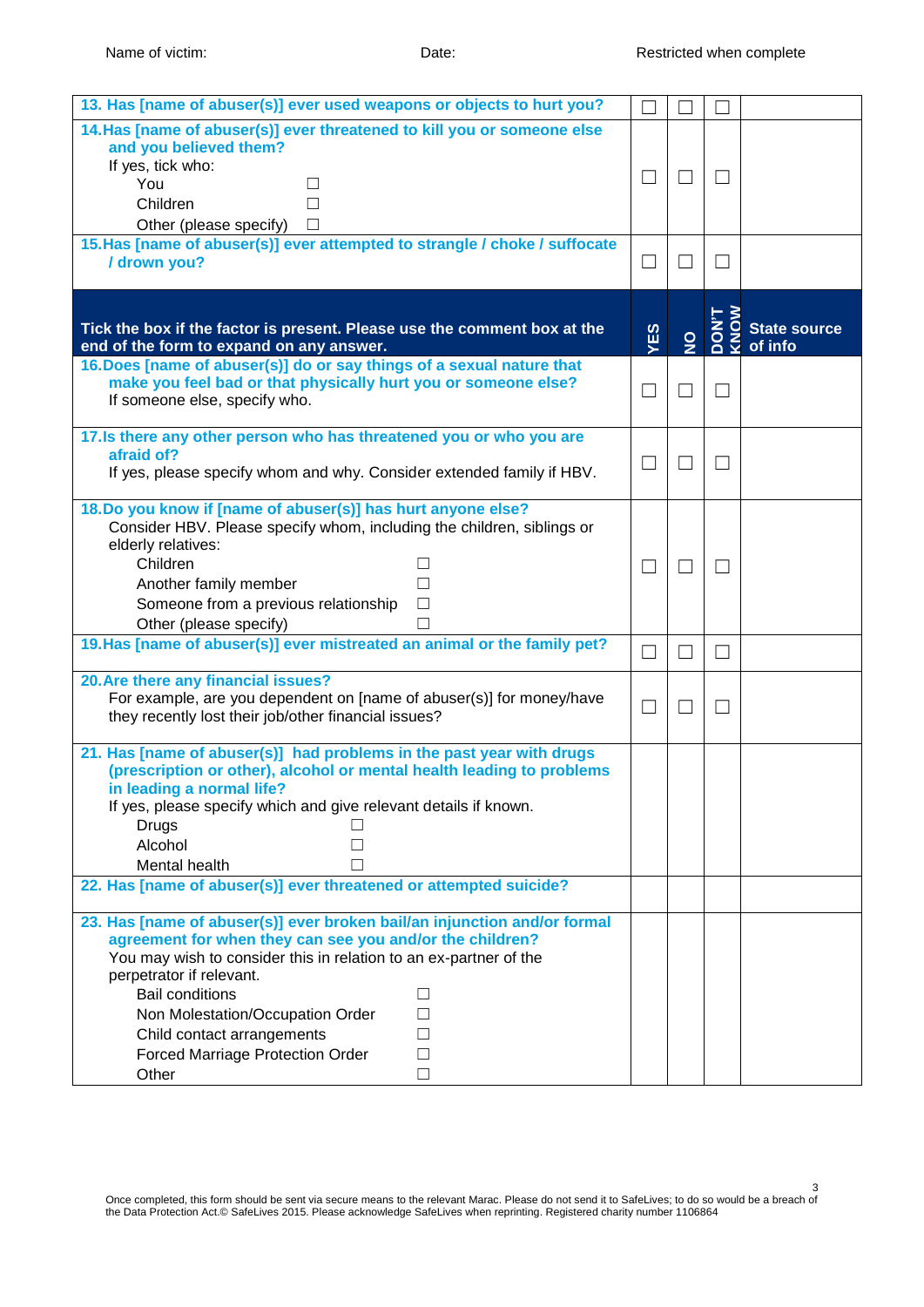| 13. Has [name of abuser(s)] ever used weapons or objects to hurt you?                                                                                                                                                                                                                                                                                                                                               |                |                   |                                |                                |
|---------------------------------------------------------------------------------------------------------------------------------------------------------------------------------------------------------------------------------------------------------------------------------------------------------------------------------------------------------------------------------------------------------------------|----------------|-------------------|--------------------------------|--------------------------------|
| 14. Has [name of abuser(s)] ever threatened to kill you or someone else<br>and you believed them?<br>If yes, tick who:<br>You<br>ш<br>Children<br>$\Box$<br>Other (please specify)<br>$\Box$                                                                                                                                                                                                                        | $\Box$         | $\Box$            |                                |                                |
| 15. Has [name of abuser(s)] ever attempted to strangle / choke / suffocate<br>/ drown you?                                                                                                                                                                                                                                                                                                                          | $\Box$         |                   |                                |                                |
| Tick the box if the factor is present. Please use the comment box at the<br>end of the form to expand on any answer.                                                                                                                                                                                                                                                                                                | YES            | $\frac{9}{2}$     | $\overline{6}$<br>i<br>So<br>Š | <b>State source</b><br>of info |
| 16. Does [name of abuser(s)] do or say things of a sexual nature that<br>make you feel bad or that physically hurt you or someone else?<br>If someone else, specify who.                                                                                                                                                                                                                                            | $\Box$         | П                 | $\Box$                         |                                |
| 17. Is there any other person who has threatened you or who you are<br>afraid of?<br>If yes, please specify whom and why. Consider extended family if HBV.                                                                                                                                                                                                                                                          | ⊔              | $\Box$            | $\Box$                         |                                |
| 18. Do you know if [name of abuser(s)] has hurt anyone else?<br>Consider HBV. Please specify whom, including the children, siblings or<br>elderly relatives:<br>Children<br>$\perp$<br>Another family member<br>П<br>Someone from a previous relationship<br>$\Box$<br>Other (please specify)<br>П                                                                                                                  | $\mathbb{R}^n$ | $\vert \ \ \vert$ | $\vert \ \ \vert$              |                                |
| 19. Has [name of abuser(s)] ever mistreated an animal or the family pet?                                                                                                                                                                                                                                                                                                                                            | $\Box$         | П                 | П                              |                                |
| 20. Are there any financial issues?<br>For example, are you dependent on [name of abuser(s)] for money/have<br>they recently lost their job/other financial issues?                                                                                                                                                                                                                                                 | ⊔              | $\mathsf{L}$      | $\Box$                         |                                |
| 21. Has [name of abuser(s)] had problems in the past year with drugs<br>(prescription or other), alcohol or mental health leading to problems<br>in leading a normal life?<br>If yes, please specify which and give relevant details if known.<br><b>Drugs</b><br>Alcohol<br>Mental health<br>22. Has [name of abuser(s)] ever threatened or attempted suicide?                                                     |                |                   |                                |                                |
| 23. Has [name of abuser(s)] ever broken bail/an injunction and/or formal<br>agreement for when they can see you and/or the children?<br>You may wish to consider this in relation to an ex-partner of the<br>perpetrator if relevant.<br><b>Bail conditions</b><br>□<br>Non Molestation/Occupation Order<br>П<br>Child contact arrangements<br>П<br><b>Forced Marriage Protection Order</b><br>$\Box$<br>Other<br>П |                |                   |                                |                                |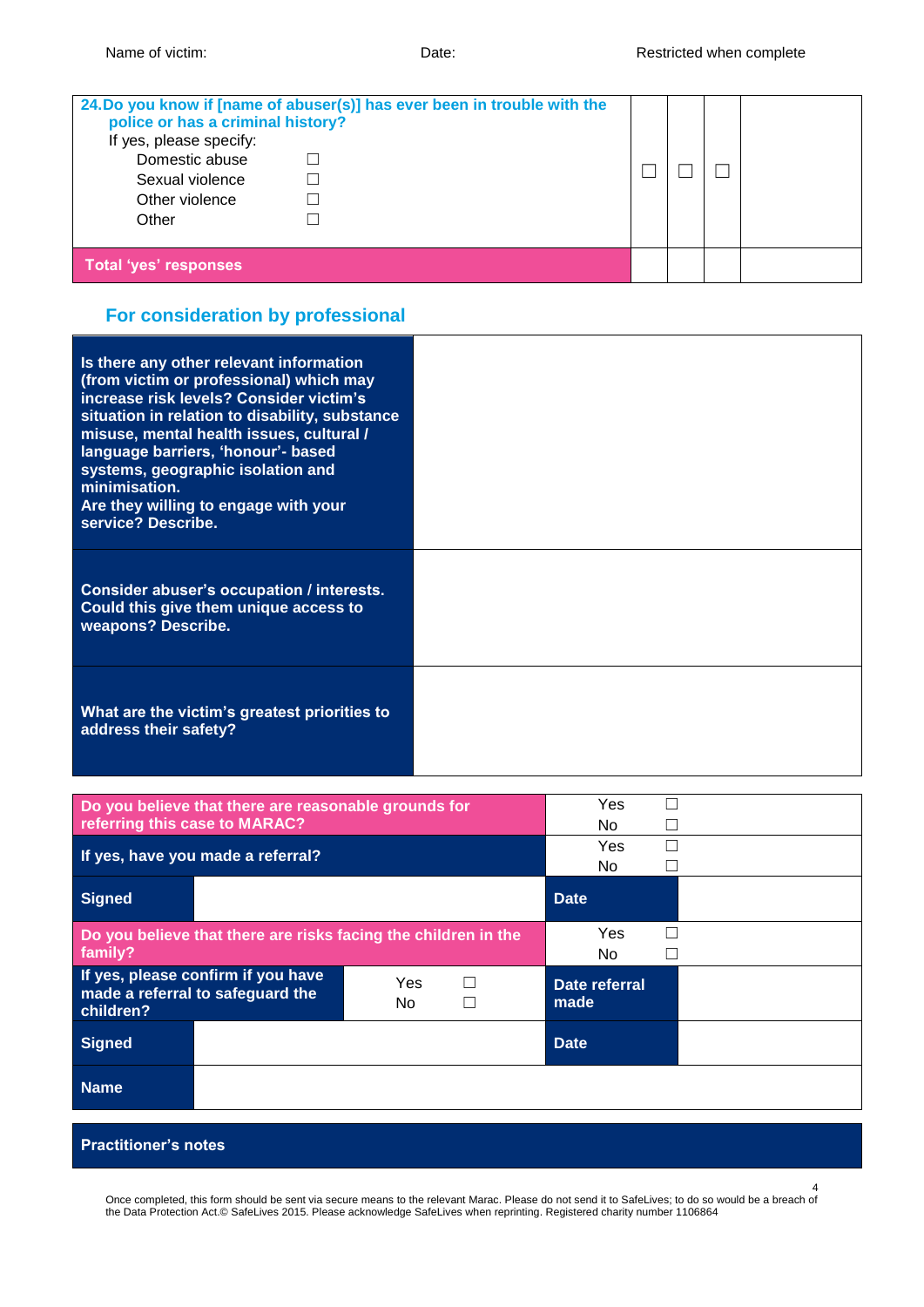| police or has a criminal history?<br>If yes, please specify:<br>Domestic abuse<br>Sexual violence<br>Other violence<br>Other | 24.Do you know if [name of abuser(s)] has ever been in trouble with the |  |  |
|------------------------------------------------------------------------------------------------------------------------------|-------------------------------------------------------------------------|--|--|
| <b>Total 'yes' responses</b>                                                                                                 |                                                                         |  |  |

# **For consideration by professional**

| Is there any other relevant information<br>(from victim or professional) which may<br>increase risk levels? Consider victim's<br>situation in relation to disability, substance<br>misuse, mental health issues, cultural /<br>language barriers, 'honour'- based<br>systems, geographic isolation and<br>minimisation.<br>Are they willing to engage with your<br>service? Describe. |  |
|---------------------------------------------------------------------------------------------------------------------------------------------------------------------------------------------------------------------------------------------------------------------------------------------------------------------------------------------------------------------------------------|--|
| Consider abuser's occupation / interests.<br>Could this give them unique access to<br>weapons? Describe.                                                                                                                                                                                                                                                                              |  |
| What are the victim's greatest priorities to<br>address their safety?                                                                                                                                                                                                                                                                                                                 |  |

| Do you believe that there are reasonable grounds for<br>referring this case to MARAC?             | Yes<br>No.            |
|---------------------------------------------------------------------------------------------------|-----------------------|
| If yes, have you made a referral?                                                                 | Yes<br>No.            |
| <b>Signed</b>                                                                                     | <b>Date</b>           |
| Do you believe that there are risks facing the children in the<br>family?                         | Yes<br>No.            |
| If yes, please confirm if you have<br>Yes<br>made a referral to safeguard the<br>No.<br>children? | Date referral<br>made |
| <b>Signed</b>                                                                                     | <b>Date</b>           |
| <b>Name</b>                                                                                       |                       |

#### **Practitioner's notes**

Once completed, this form should be sent via secure means to the relevant Marac. Please do not send it to SafeLives; to do so would be a breach of the Data Protection Act.© SafeLives 2015. Please acknowledge SafeLives when reprinting. Registered charity number 1106864